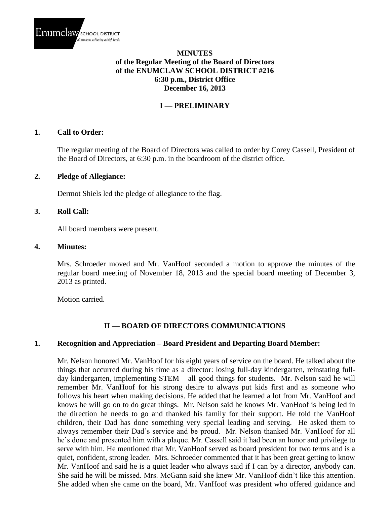

## **MINUTES of the Regular Meeting of the Board of Directors of the ENUMCLAW SCHOOL DISTRICT #216 6:30 p.m., District Office December 16, 2013**

## **I — PRELIMINARY**

#### **1. Call to Order:**

The regular meeting of the Board of Directors was called to order by Corey Cassell, President of the Board of Directors, at 6:30 p.m. in the boardroom of the district office.

#### **2. Pledge of Allegiance:**

Dermot Shiels led the pledge of allegiance to the flag.

#### **3. Roll Call:**

All board members were present.

#### **4. Minutes:**

Mrs. Schroeder moved and Mr. VanHoof seconded a motion to approve the minutes of the regular board meeting of November 18, 2013 and the special board meeting of December 3, 2013 as printed.

Motion carried.

## **II — BOARD OF DIRECTORS COMMUNICATIONS**

### **1. Recognition and Appreciation – Board President and Departing Board Member:**

Mr. Nelson honored Mr. VanHoof for his eight years of service on the board. He talked about the things that occurred during his time as a director: losing full-day kindergarten, reinstating fullday kindergarten, implementing STEM – all good things for students. Mr. Nelson said he will remember Mr. VanHoof for his strong desire to always put kids first and as someone who follows his heart when making decisions. He added that he learned a lot from Mr. VanHoof and knows he will go on to do great things. Mr. Nelson said he knows Mr. VanHoof is being led in the direction he needs to go and thanked his family for their support. He told the VanHoof children, their Dad has done something very special leading and serving. He asked them to always remember their Dad's service and be proud. Mr. Nelson thanked Mr. VanHoof for all he's done and presented him with a plaque. Mr. Cassell said it had been an honor and privilege to serve with him. He mentioned that Mr. VanHoof served as board president for two terms and is a quiet, confident, strong leader. Mrs. Schroeder commented that it has been great getting to know Mr. VanHoof and said he is a quiet leader who always said if I can by a director, anybody can. She said he will be missed. Mrs. McGann said she knew Mr. VanHoof didn't like this attention. She added when she came on the board, Mr. VanHoof was president who offered guidance and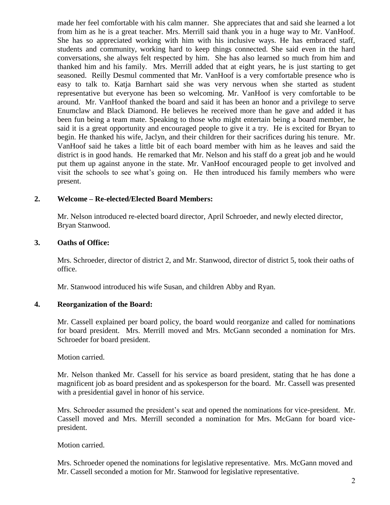made her feel comfortable with his calm manner. She appreciates that and said she learned a lot from him as he is a great teacher. Mrs. Merrill said thank you in a huge way to Mr. VanHoof. She has so appreciated working with him with his inclusive ways. He has embraced staff, students and community, working hard to keep things connected. She said even in the hard conversations, she always felt respected by him. She has also learned so much from him and thanked him and his family. Mrs. Merrill added that at eight years, he is just starting to get seasoned. Reilly Desmul commented that Mr. VanHoof is a very comfortable presence who is easy to talk to. Katja Barnhart said she was very nervous when she started as student representative but everyone has been so welcoming. Mr. VanHoof is very comfortable to be around. Mr. VanHoof thanked the board and said it has been an honor and a privilege to serve Enumclaw and Black Diamond. He believes he received more than he gave and added it has been fun being a team mate. Speaking to those who might entertain being a board member, he said it is a great opportunity and encouraged people to give it a try. He is excited for Bryan to begin. He thanked his wife, Jaclyn, and their children for their sacrifices during his tenure. Mr. VanHoof said he takes a little bit of each board member with him as he leaves and said the district is in good hands. He remarked that Mr. Nelson and his staff do a great job and he would put them up against anyone in the state. Mr. VanHoof encouraged people to get involved and visit the schools to see what's going on. He then introduced his family members who were present.

### **2. Welcome – Re-elected/Elected Board Members:**

Mr. Nelson introduced re-elected board director, April Schroeder, and newly elected director, Bryan Stanwood.

### **3. Oaths of Office:**

Mrs. Schroeder, director of district 2, and Mr. Stanwood, director of district 5, took their oaths of office.

Mr. Stanwood introduced his wife Susan, and children Abby and Ryan.

## **4. Reorganization of the Board:**

Mr. Cassell explained per board policy, the board would reorganize and called for nominations for board president. Mrs. Merrill moved and Mrs. McGann seconded a nomination for Mrs. Schroeder for board president.

Motion carried.

Mr. Nelson thanked Mr. Cassell for his service as board president, stating that he has done a magnificent job as board president and as spokesperson for the board. Mr. Cassell was presented with a presidential gavel in honor of his service.

Mrs. Schroeder assumed the president's seat and opened the nominations for vice-president. Mr. Cassell moved and Mrs. Merrill seconded a nomination for Mrs. McGann for board vicepresident.

Motion carried.

Mrs. Schroeder opened the nominations for legislative representative. Mrs. McGann moved and Mr. Cassell seconded a motion for Mr. Stanwood for legislative representative.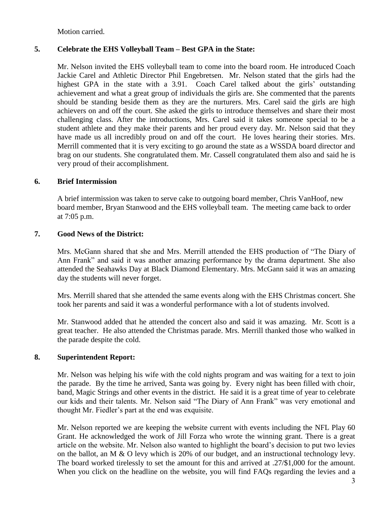Motion carried.

## **5. Celebrate the EHS Volleyball Team – Best GPA in the State:**

Mr. Nelson invited the EHS volleyball team to come into the board room. He introduced Coach Jackie Carel and Athletic Director Phil Engebretsen. Mr. Nelson stated that the girls had the highest GPA in the state with a 3.91. Coach Carel talked about the girls' outstanding achievement and what a great group of individuals the girls are. She commented that the parents should be standing beside them as they are the nurturers. Mrs. Carel said the girls are high achievers on and off the court. She asked the girls to introduce themselves and share their most challenging class. After the introductions, Mrs. Carel said it takes someone special to be a student athlete and they make their parents and her proud every day. Mr. Nelson said that they have made us all incredibly proud on and off the court. He loves hearing their stories. Mrs. Merrill commented that it is very exciting to go around the state as a WSSDA board director and brag on our students. She congratulated them. Mr. Cassell congratulated them also and said he is very proud of their accomplishment.

### **6. Brief Intermission**

A brief intermission was taken to serve cake to outgoing board member, Chris VanHoof, new board member, Bryan Stanwood and the EHS volleyball team. The meeting came back to order at 7:05 p.m.

### **7. Good News of the District:**

Mrs. McGann shared that she and Mrs. Merrill attended the EHS production of "The Diary of Ann Frank" and said it was another amazing performance by the drama department. She also attended the Seahawks Day at Black Diamond Elementary. Mrs. McGann said it was an amazing day the students will never forget.

Mrs. Merrill shared that she attended the same events along with the EHS Christmas concert. She took her parents and said it was a wonderful performance with a lot of students involved.

Mr. Stanwood added that he attended the concert also and said it was amazing. Mr. Scott is a great teacher. He also attended the Christmas parade. Mrs. Merrill thanked those who walked in the parade despite the cold.

## **8. Superintendent Report:**

Mr. Nelson was helping his wife with the cold nights program and was waiting for a text to join the parade. By the time he arrived, Santa was going by. Every night has been filled with choir, band, Magic Strings and other events in the district. He said it is a great time of year to celebrate our kids and their talents. Mr. Nelson said "The Diary of Ann Frank" was very emotional and thought Mr. Fiedler's part at the end was exquisite.

Mr. Nelson reported we are keeping the website current with events including the NFL Play 60 Grant. He acknowledged the work of Jill Forza who wrote the winning grant. There is a great article on the website. Mr. Nelson also wanted to highlight the board's decision to put two levies on the ballot, an M & O levy which is 20% of our budget, and an instructional technology levy. The board worked tirelessly to set the amount for this and arrived at .27/\$1,000 for the amount. When you click on the headline on the website, you will find FAQs regarding the levies and a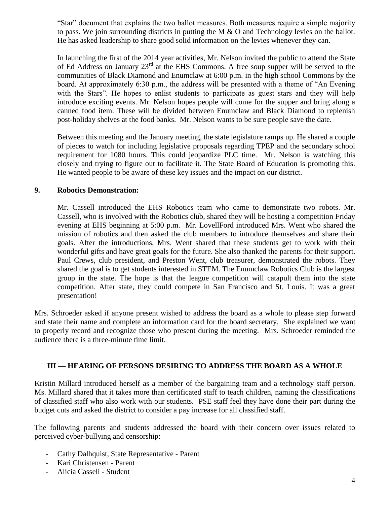"Star" document that explains the two ballot measures. Both measures require a simple majority to pass. We join surrounding districts in putting the M  $\&$  O and Technology levies on the ballot. He has asked leadership to share good solid information on the levies whenever they can.

In launching the first of the 2014 year activities, Mr. Nelson invited the public to attend the State of Ed Address on January 23rd at the EHS Commons. A free soup supper will be served to the communities of Black Diamond and Enumclaw at 6:00 p.m. in the high school Commons by the board. At approximately 6:30 p.m., the address will be presented with a theme of "An Evening with the Stars". He hopes to enlist students to participate as guest stars and they will help introduce exciting events. Mr. Nelson hopes people will come for the supper and bring along a canned food item. These will be divided between Enumclaw and Black Diamond to replenish post-holiday shelves at the food banks. Mr. Nelson wants to be sure people save the date.

Between this meeting and the January meeting, the state legislature ramps up. He shared a couple of pieces to watch for including legislative proposals regarding TPEP and the secondary school requirement for 1080 hours. This could jeopardize PLC time. Mr. Nelson is watching this closely and trying to figure out to facilitate it. The State Board of Education is promoting this. He wanted people to be aware of these key issues and the impact on our district.

### **9. Robotics Demonstration:**

Mr. Cassell introduced the EHS Robotics team who came to demonstrate two robots. Mr. Cassell, who is involved with the Robotics club, shared they will be hosting a competition Friday evening at EHS beginning at 5:00 p.m. Mr. LovellFord introduced Mrs. Went who shared the mission of robotics and then asked the club members to introduce themselves and share their goals. After the introductions, Mrs. Went shared that these students get to work with their wonderful gifts and have great goals for the future. She also thanked the parents for their support. Paul Crews, club president, and Preston Went, club treasurer, demonstrated the robots. They shared the goal is to get students interested in STEM. The Enumclaw Robotics Club is the largest group in the state. The hope is that the league competition will catapult them into the state competition. After state, they could compete in San Francisco and St. Louis. It was a great presentation!

Mrs. Schroeder asked if anyone present wished to address the board as a whole to please step forward and state their name and complete an information card for the board secretary. She explained we want to properly record and recognize those who present during the meeting. Mrs. Schroeder reminded the audience there is a three-minute time limit.

## **III — HEARING OF PERSONS DESIRING TO ADDRESS THE BOARD AS A WHOLE**

Kristin Millard introduced herself as a member of the bargaining team and a technology staff person. Ms. Millard shared that it takes more than certificated staff to teach children, naming the classifications of classified staff who also work with our students. PSE staff feel they have done their part during the budget cuts and asked the district to consider a pay increase for all classified staff.

The following parents and students addressed the board with their concern over issues related to perceived cyber-bullying and censorship:

- Cathy Dalhquist, State Representative Parent
- Kari Christensen Parent
- Alicia Cassell Student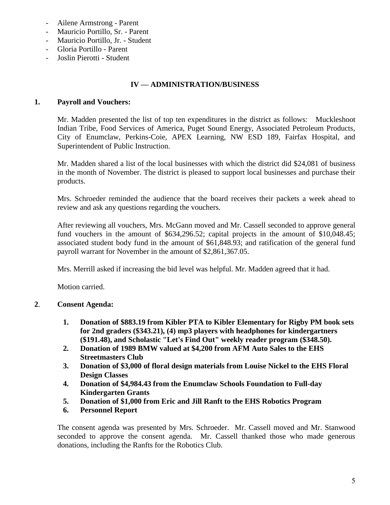- Ailene Armstrong Parent
- Mauricio Portillo, Sr. Parent
- Mauricio Portillo, Jr. Student
- Gloria Portillo Parent
- Joslin Pierotti Student

# **IV — ADMINISTRATION/BUSINESS**

## **1. Payroll and Vouchers:**

Mr. Madden presented the list of top ten expenditures in the district as follows: Muckleshoot Indian Tribe, Food Services of America, Puget Sound Energy, Associated Petroleum Products, City of Enumclaw, Perkins-Coie, APEX Learning, NW ESD 189, Fairfax Hospital, and Superintendent of Public Instruction.

Mr. Madden shared a list of the local businesses with which the district did \$24,081 of business in the month of November. The district is pleased to support local businesses and purchase their products.

Mrs. Schroeder reminded the audience that the board receives their packets a week ahead to review and ask any questions regarding the vouchers.

After reviewing all vouchers, Mrs. McGann moved and Mr. Cassell seconded to approve general fund vouchers in the amount of \$634,296.52; capital projects in the amount of \$10,048.45; associated student body fund in the amount of \$61,848.93; and ratification of the general fund payroll warrant for November in the amount of \$2,861,367.05.

Mrs. Merrill asked if increasing the bid level was helpful. Mr. Madden agreed that it had.

Motion carried.

# **2**. **Consent Agenda:**

- **1. Donation of \$883.19 from Kibler PTA to Kibler Elementary for Rigby PM book sets for 2nd graders (\$343.21), (4) mp3 players with headphones for kindergartners (\$191.48), and Scholastic "Let's Find Out" weekly reader program (\$348.50).**
- **2. Donation of 1989 BMW valued at \$4,200 from AFM Auto Sales to the EHS Streetmasters Club**
- **3. Donation of \$3,000 of floral design materials from Louise Nickel to the EHS Floral Design Classes**
- **4. Donation of \$4,984.43 from the Enumclaw Schools Foundation to Full-day Kindergarten Grants**
- **5. Donation of \$1,000 from Eric and Jill Ranft to the EHS Robotics Program**
- **6. Personnel Report**

The consent agenda was presented by Mrs. Schroeder. Mr. Cassell moved and Mr. Stanwood seconded to approve the consent agenda. Mr. Cassell thanked those who made generous donations, including the Ranfts for the Robotics Club.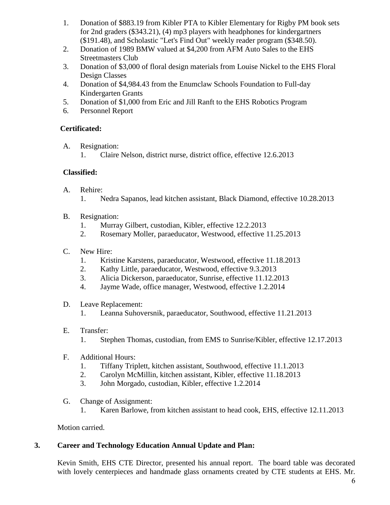- 1. Donation of \$883.19 from Kibler PTA to Kibler Elementary for Rigby PM book sets for 2nd graders (\$343.21), (4) mp3 players with headphones for kindergartners (\$191.48), and Scholastic "Let's Find Out" weekly reader program (\$348.50).
- 2. Donation of 1989 BMW valued at \$4,200 from AFM Auto Sales to the EHS Streetmasters Club
- 3. Donation of \$3,000 of floral design materials from Louise Nickel to the EHS Floral Design Classes
- 4. Donation of \$4,984.43 from the Enumclaw Schools Foundation to Full-day Kindergarten Grants
- 5. Donation of \$1,000 from Eric and Jill Ranft to the EHS Robotics Program
- 6. Personnel Report

# **Certificated:**

- A. Resignation:
	- 1. Claire Nelson, district nurse, district office, effective 12.6.2013

# **Classified:**

- A. Rehire:
	- 1. Nedra Sapanos, lead kitchen assistant, Black Diamond, effective 10.28.2013
- B. Resignation:
	- 1. Murray Gilbert, custodian, Kibler, effective 12.2.2013
	- 2. Rosemary Moller, paraeducator, Westwood, effective 11.25.2013
- C. New Hire:
	- 1. Kristine Karstens, paraeducator, Westwood, effective 11.18.2013
	- 2. Kathy Little, paraeducator, Westwood, effective 9.3.2013
	- 3. Alicia Dickerson, paraeducator, Sunrise, effective 11.12.2013
	- 4. Jayme Wade, office manager, Westwood, effective 1.2.2014
- D. Leave Replacement:
	- 1. Leanna Suhoversnik, paraeducator, Southwood, effective 11.21.2013
- E. Transfer:
	- 1. Stephen Thomas, custodian, from EMS to Sunrise/Kibler, effective 12.17.2013
- F. Additional Hours:
	- 1. Tiffany Triplett, kitchen assistant, Southwood, effective 11.1.2013
	- 2. Carolyn McMillin, kitchen assistant, Kibler, effective 11.18.2013
	- 3. John Morgado, custodian, Kibler, effective 1.2.2014
- G. Change of Assignment:
	- 1. Karen Barlowe, from kitchen assistant to head cook, EHS, effective 12.11.2013

Motion carried.

# **3. Career and Technology Education Annual Update and Plan:**

Kevin Smith, EHS CTE Director, presented his annual report. The board table was decorated with lovely centerpieces and handmade glass ornaments created by CTE students at EHS. Mr.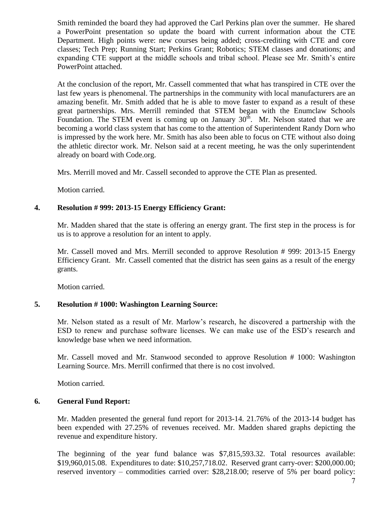Smith reminded the board they had approved the Carl Perkins plan over the summer. He shared a PowerPoint presentation so update the board with current information about the CTE Department. High points were: new courses being added; cross-crediting with CTE and core classes; Tech Prep; Running Start; Perkins Grant; Robotics; STEM classes and donations; and expanding CTE support at the middle schools and tribal school. Please see Mr. Smith's entire PowerPoint attached.

At the conclusion of the report, Mr. Cassell commented that what has transpired in CTE over the last few years is phenomenal. The partnerships in the community with local manufacturers are an amazing benefit. Mr. Smith added that he is able to move faster to expand as a result of these great partnerships. Mrs. Merrill reminded that STEM began with the Enumclaw Schools Foundation. The STEM event is coming up on January  $30<sup>th</sup>$ . Mr. Nelson stated that we are becoming a world class system that has come to the attention of Superintendent Randy Dorn who is impressed by the work here. Mr. Smith has also been able to focus on CTE without also doing the athletic director work. Mr. Nelson said at a recent meeting, he was the only superintendent already on board with Code.org.

Mrs. Merrill moved and Mr. Cassell seconded to approve the CTE Plan as presented.

Motion carried.

#### **4. Resolution # 999: 2013-15 Energy Efficiency Grant:**

Mr. Madden shared that the state is offering an energy grant. The first step in the process is for us is to approve a resolution for an intent to apply.

Mr. Cassell moved and Mrs. Merrill seconded to approve Resolution # 999: 2013-15 Energy Efficiency Grant. Mr. Cassell comented that the district has seen gains as a result of the energy grants.

Motion carried.

### **5. Resolution # 1000: Washington Learning Source:**

Mr. Nelson stated as a result of Mr. Marlow's research, he discovered a partnership with the ESD to renew and purchase software licenses. We can make use of the ESD's research and knowledge base when we need information.

Mr. Cassell moved and Mr. Stanwood seconded to approve Resolution # 1000: Washington Learning Source. Mrs. Merrill confirmed that there is no cost involved.

Motion carried.

### **6. General Fund Report:**

Mr. Madden presented the general fund report for 2013-14. 21.76% of the 2013-14 budget has been expended with 27.25% of revenues received. Mr. Madden shared graphs depicting the revenue and expenditure history.

The beginning of the year fund balance was \$7,815,593.32. Total resources available: \$19,960,015.08. Expenditures to date: \$10,257,718.02. Reserved grant carry-over: \$200,000.00; reserved inventory – commodities carried over: \$28,218.00; reserve of 5% per board policy: